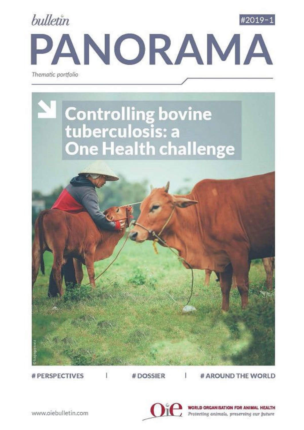



# PERSPECTIVES

# DOSSIER

I

# AROUND THE WORLD



**WORLD ORGANISATION FOR ANIMAL HEALTH** Protecting animals, preserving our juture

www.oiebulletin.com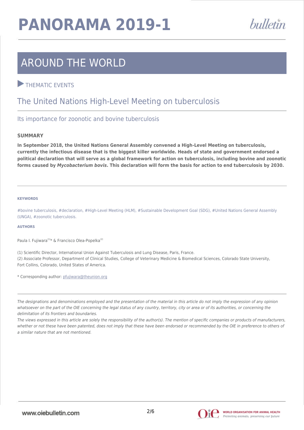## **PANORAMA 2019-1**



## AROUND THE WORLD

### THEMATIC EVENTS

## The United Nations High-Level Meeting on tuberculosis

#### Its importance for zoonotic and bovine tuberculosis

#### **SUMMARY**

**In September 2018, the United Nations General Assembly convened a High-Level Meeting on tuberculosis, currently the infectious disease that is the biggest killer worldwide. Heads of state and government endorsed a political declaration that will serve as a global framework for action on tuberculosis, including bovine and zoonotic forms caused by** *Mycobacterium bovis***. This declaration will form the basis for action to end tuberculosis by 2030.**

#### **KEYWORDS**

#bovine tuberculosis, #declaration, #High-Level Meeting (HLM), #Sustainable Development Goal (SDG), #United Nations General Assembly (UNGA), #zoonotic tuberculosis.

#### **AUTHORS**

Paula I. Fujiwara<sup>(1)\*</sup> & Francisco Olea-Popelka<sup>(2)</sup>

(1) Scientific Director, International Union Against Tuberculosis and Lung Disease, Paris, France.

(2) Associate Professor, Department of Clinical Studies, College of Veterinary Medicine & Biomedical Sciences, Colorado State University, Fort Collins, Colorado, United States of America.

\* Corresponding author: [pfujiwara@theunion.org](mailto:pfujiwara@theunion.org)

The designations and denominations employed and the presentation of the material in this article do not imply the expression of any opinion whatsoever on the part of the OIE concerning the legal status of any country, territory, city or area or of its authorities, or concerning the delimitation of its frontiers and boundaries.

The views expressed in this article are solely the responsibility of the author(s). The mention of specific companies or products of manufacturers, whether or not these have been patented, does not imply that these have been endorsed or recommended by the OIE in preference to others of a similar nature that are not mentioned.



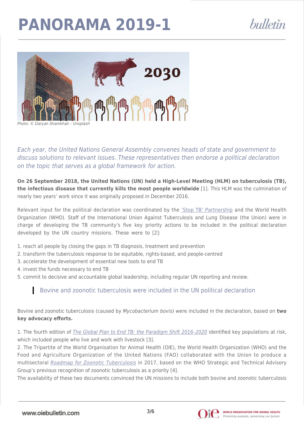# **PANORAMA 2019-1**



Each year, the United Nations General Assembly convenes heads of state and government to discuss solutions to relevant issues. These representatives then endorse a political declaration on the topic that serves as a global framework for action.

**On 26 September 2018, the United Nations (UN) held a High-Level Meeting (HLM) on tuberculosis (TB), the infectious disease that currently kills the most people worldwide** [1]. This HLM was the culmination of nearly two years' work since it was originally proposed in December 2016.

Relevant input for the political declaration was coordinated by the ['Stop TB' Partnership](http://www.stoptb.org/about/) and the World Health Organization (WHO). Staff of the International Union Against Tuberculosis and Lung Disease (the Union) were in charge of developing the TB community's five key priority actions to be included in the political declaration developed by the UN country missions. These were to [2]:

- 1. reach all people by closing the gaps in TB diagnosis, treatment and prevention
- 2. transform the tuberculosis response to be equitable, rights-based, and people-centred
- 3. accelerate the development of essential new tools to end TB
- 4. invest the funds necessary to end TB
- 5. commit to decisive and accountable global leadership, including regular UN reporting and review.

### Bovine and zoonotic tuberculosis were included in the UN political declaration

Bovine and zoonotic tuberculosis (caused by Mycobacterium bovis) were included in the declaration, based on **two key advocacy efforts.**

1. The fourth edition of *[The Global Plan to End TB: the Paradigm Shift](http://www.stoptb.org/assets/documents/global/plan/GlobalPlanToEndTB_TheParadigmShift_2016-2020_StopTBPartnership.pdf) 2016-2020* identified key populations at risk, which included people who live and work with livestock [3].

2. The Tripartite of the World Organisation for Animal Health (OIE), the World Health Organization (WHO) and the Food and Agriculture Organization of the United Nations (FAO) collaborated with the Union to produce a multisectoral [Roadmap for Zoonotic Tuberculosis](http://www.oie.int/fileadmin/Home/eng/Our_scientific_expertise/docs/pdf/Tuberculosis/Roadmap_zoonotic_TB.pdf) in 2017, based on the WHO Strategic and Technical Advisory Group's previous recognition of zoonotic tuberculosis as a priority [4].

The availability of these two documents convinced the UN missions to include both bovine and zoonotic tuberculosis

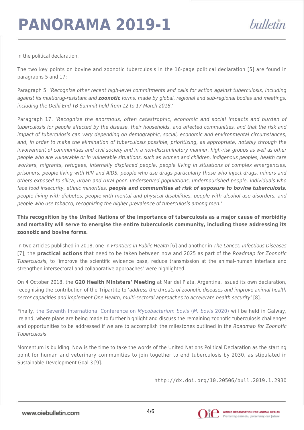in the political declaration.

The two key points on bovine and zoonotic tuberculosis in the 16-page political declaration [5] are found in paragraphs 5 and 17:

Paragraph 5. 'Recognize other recent high-level commitments and calls for action against tuberculosis, including against its multidrug-resistant and *zoonotic* forms, made by global, regional and sub-regional bodies and meetings, including the Delhi End TB Summit held from 12 to 17 March 2018.'

Paragraph 17. 'Recognize the enormous, often catastrophic, economic and social impacts and burden of tuberculosis for people affected by the disease, their households, and affected communities, and that the risk and impact of tuberculosis can vary depending on demographic, social, economic and environmental circumstances, and, in order to make the elimination of tuberculosis possible, prioritizing, as appropriate, notably through the involvement of communities and civil society and in a non-discriminatory manner, high-risk groups as well as other people who are vulnerable or in vulnerable situations, such as women and children, indigenous peoples, health care workers, migrants, refugees, internally displaced people, people living in situations of complex emergencies, prisoners, people living with HIV and AIDS, people who use drugs particularly those who inject drugs, miners and others exposed to silica, urban and rural poor, underserved populations, undernourished people, individuals who face food insecurity, ethnic minorities, *people and communities at risk of exposure to bovine tuberculosis*, people living with diabetes, people with mental and physical disabilities, people with alcohol use disorders, and people who use tobacco, recognizing the higher prevalence of tuberculosis among men.'

**This recognition by the United Nations of the importance of tuberculosis as a major cause of morbidity and mortality will serve to energise the entire tuberculosis community, including those addressing its zoonotic and bovine forms.**

In two articles published in 2018, one in Frontiers in Public Health [6] and another in The Lancet: Infectious Diseases [7], the **practical actions** that need to be taken between now and 2025 as part of the Roadmap for Zoonotic Tuberculosis, to 'improve the scientific evidence base, reduce transmission at the animal–human interface and strengthen intersectoral and collaborative approaches' were highlighted.

On 4 October 2018, the **G20 Health Ministers' Meeting** at Mar del Plata, Argentina, issued its own declaration, recognising the contribution of the Tripartite to 'address the threats of zoonotic diseases and improve animal health sector capacities and implement One Health, multi-sectoral approaches to accelerate health security' [8].

Finally, [the Seventh International Conference on](http://oiebulletin.fr/?panorama=4-4-3-mbovis-2020-en) [Mycobacterium](http://oiebulletin.fr/?panorama=4-4-3-mbovis-2020-en) [bovis](http://oiebulletin.fr/?panorama=4-4-3-mbovis-2020-en) [\(](http://oiebulletin.fr/?panorama=4-4-3-mbovis-2020-en)[M. bovis](http://oiebulletin.fr/?panorama=4-4-3-mbovis-2020-en) [2020\)](http://oiebulletin.fr/?panorama=4-4-3-mbovis-2020-en) will be held in Galway, Ireland, where plans are being made to further highlight and discuss the remaining zoonotic tuberculosis challenges and opportunities to be addressed if we are to accomplish the milestones outlined in the Roadmap for Zoonotic Tuberculosis.

Momentum is building. Now is the time to take the words of the United Nations Political Declaration as the starting point for human and veterinary communities to join together to end tuberculosis by 2030, as stipulated in Sustainable Development Goal 3 [9].

http://dx.doi.org/10.20506/bull.2019.1.2930

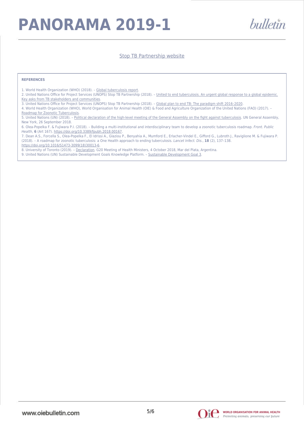#### [Stop TB Partnership website](http://www.stoptb.org/)

#### **REFERENCES**

1. World Health Organization (WHO) (2018). – [Global tuberculosis report](https://www.who.int/tb/publications/global_report/en/).

2. United Nations Office for Project Services (UNOPS) Stop TB Partnership (2018). – [United to end tuberculosis. An urgent global response to a global epidemic.](http://www.stoptb.org/assets/documents/global/advocacy/unhlm/KEYASKS_WEB.pdf) [Key asks from TB stakeholders and communities](http://www.stoptb.org/assets/documents/global/advocacy/unhlm/KEYASKS_WEB.pdf).

3. United Nations Office for Project Services (UNOPS) Stop TB Partnership (2018). – [Global plan to end TB: The paradigm shift 2016–2020.](http://www.stoptb.org/assets/documents/global/plan/GlobalPlanToEndTB_TheParadigmShift_2016-2020_StopTBPartnership.pdf)

4. World Health Organization (WHO), World Organisation for Animal Health (OIE) & Food and Agriculture Organization of the United Nations (FAO) (2017). – [Roadmap for Zoonotic Tuberculosis](http://www.oie.int/fileadmin/Home/eng/Our_scientific_expertise/docs/pdf/Tuberculosis/Roadmap_zoonotic_TB.pdf).

5. United Nations (UN) (2018). – [Political declaration of the high-level meeting of the General Assembly on the fight against tuberculosis](https://undocs.org/en/A/73/L.4). UN General Assembly, New York, 26 September 2018.

6. Olea-Popelka F. & Fujiwara P.I. (2018). – Building a multi-institutional and interdisciplinary team to develop a zoonotic tuberculosis roadmap. Front. Public Health, **6** (Art 167). [https://doi.org/10.3389/fpubh.2018.00167.](https://doi.org/10.3389/fpubh.2018.00167)

7. Dean A.S., Forcella S., Olea-Popelka F., El Idrissi A., Glaziou P., Benyahia A., Mumford E., Erlacher-Vindel E., Gifford G., Lubroth J., Raviglione M. & Fujiwara P. (2018). – A roadmap for zoonotic tuberculosis: a One Health approach to ending tuberculosis. Lancet Infect. Dis., **18** (2), 137–138. [https://doi.org/10.1016/S1473-3099\(18\)30013-6.](https://doi.org/10.1016/S1473-3099(18)30013-6)

8. University of Toronto (2019). – [Declaration.](http://www.g20.utoronto.ca/2018/2018-10-04-health.html) G20 Meeting of Health Ministers, 4 October 2018, Mar del Plata, Argentina.

9. United Nations (UN) Sustainable Development Goals Knowledge Platform. - [Sustainable Development Goal 3.](https://sustainabledevelopment.un.org/sdg3)